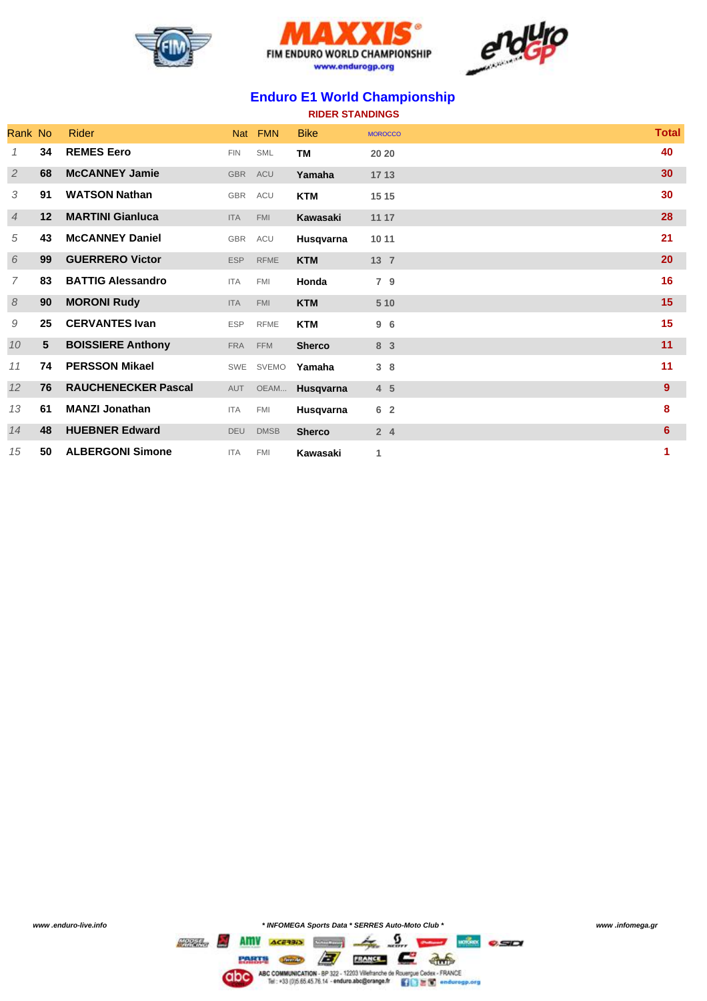





## **Enduro E1 World Championship**

| <b>RIDER STANDINGS</b> |  |  |  |  |
|------------------------|--|--|--|--|
|------------------------|--|--|--|--|

| Rank No        |                 | Rider                      | <b>Nat</b> | <b>FMN</b>   | <b>Bike</b>   | <b>MOROCCO</b> | <b>Total</b> |
|----------------|-----------------|----------------------------|------------|--------------|---------------|----------------|--------------|
|                | 34              | <b>REMES Eero</b>          | <b>FIN</b> | <b>SML</b>   | <b>TM</b>     | 20 20          | 40           |
| $\overline{2}$ | 68              | <b>McCANNEY Jamie</b>      | <b>GBR</b> | <b>ACU</b>   | Yamaha        | 17 13          | 30           |
| 3              | 91              | <b>WATSON Nathan</b>       | <b>GBR</b> | <b>ACU</b>   | <b>KTM</b>    | 15 15          | 30           |
| 4              | 12              | <b>MARTINI Gianluca</b>    | <b>ITA</b> | <b>FMI</b>   | Kawasaki      | 11 17          | 28           |
| 5              | 43              | <b>McCANNEY Daniel</b>     | <b>GBR</b> | ACU          | Husqvarna     | 10 11          | 21           |
| 6              | 99              | <b>GUERRERO Victor</b>     | <b>ESP</b> | <b>RFME</b>  | <b>KTM</b>    | 13 7           | 20           |
| 7              | 83              | <b>BATTIG Alessandro</b>   | <b>ITA</b> | <b>FMI</b>   | Honda         | 7 9            | 16           |
| 8              | 90              | <b>MORONI Rudy</b>         | <b>ITA</b> | <b>FMI</b>   | <b>KTM</b>    | 5 10           | 15           |
| 9              | 25              | <b>CERVANTES Ivan</b>      | <b>ESP</b> | <b>RFME</b>  | <b>KTM</b>    | 96             | 15           |
| 10             | $5\phantom{.0}$ | <b>BOISSIERE Anthony</b>   | <b>FRA</b> | <b>FFM</b>   | <b>Sherco</b> | 8 3            | 11           |
| 11             | 74              | <b>PERSSON Mikael</b>      | SWE        | <b>SVEMO</b> | Yamaha        | 38             | 11           |
| 12             | 76              | <b>RAUCHENECKER Pascal</b> | AUT        | OEAM         | Husqvarna     | 4 <sub>5</sub> | 9            |
| 13             | 61              | <b>MANZI Jonathan</b>      | <b>ITA</b> | <b>FMI</b>   | Husqvarna     | 6 <sup>2</sup> | 8            |
| 14             | 48              | <b>HUEBNER Edward</b>      | <b>DEU</b> | <b>DMSB</b>  | <b>Sherco</b> | 24             | 6            |
| 15             | 50              | <b>ALBERGONI Simone</b>    | <b>ITA</b> | <b>FMI</b>   | Kawasaki      | 1              | 1            |

*www .enduro-live.info \* INFOMEGA Sports Data \* SERRES Auto-Moto Club \* www .infomega.gr*

CIDO ASCOMMUNICATION - 8P 322 - 12203 Vietname de Rosspar Cedar - FRANCE